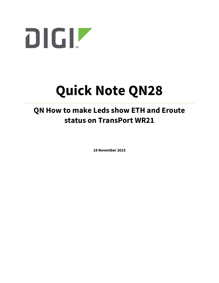

# **Quick Note QN28**

## **QN How to make Leds show ETH and Eroute status on TransPort WR21**

**18 November 2015**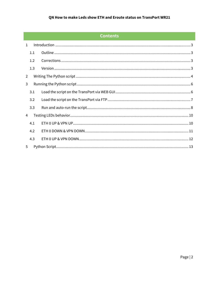#### **Contents**

| $\mathbf{1}$ |     |  |
|--------------|-----|--|
|              | 1.1 |  |
|              | 1.2 |  |
|              | 1.3 |  |
| 2            |     |  |
| 3            |     |  |
|              | 3.1 |  |
|              | 3.2 |  |
|              | 3.3 |  |
| 4            |     |  |
|              | 4.1 |  |
|              | 4.2 |  |
|              | 4.3 |  |
| 5            |     |  |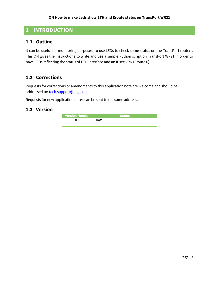## <span id="page-2-0"></span>**1 INTRODUCTION**

## <span id="page-2-1"></span>**1.1 Outline**

It can be useful for monitoring purposes, to use LEDs to check some status on the TransPort routers. This QN gives the instructions to write and use a simple Python script on TransPort WR21 in order to have LEDs reflecting the status of ETH interface and an IPsec VPN (Eroute 0).

#### <span id="page-2-2"></span>**1.2 Corrections**

Requests for corrections or amendments to this application note are welcome and should be addressed to: [tech.support@digi.com](mailto:tech.support@digi.com)

Requests for new application notes can be sent to the same address.

#### <span id="page-2-3"></span>**1.3 Version**

| <b>Version Number</b> ، | <b>Status</b> |
|-------------------------|---------------|
|                         | Draft         |
|                         |               |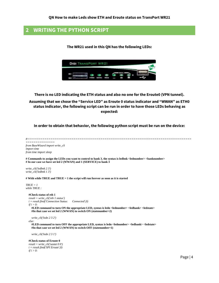## <span id="page-3-0"></span>**2 WRITING THE PYTHON SCRIPT**

**The WR21 used in this QN has the following LEDs:**



**There is no LED indicating the ETH status and also no one for the Eroute0 (VPN tunnel).**

**Assuming that we chose the "Service LED" as Eroute 0 status indicator and "WWAN" as ETH0 status indicator, the following script can be run in order to have those LEDs behaving as expected:**

**In order to obtain that behavior, the following python script must be run on the device:**

#### *#===================================================================================== =============== from BaseWizard import write\_cli import time from time import sleep*

**# Commands to assign the LEDs you want to control to bank 3, the syntax is ledbnk <lednumber> <banknumber> # In our case we have set led 2 (WWAN) and 1 (SERVICE) to bank 3**

*write\_cli('ledbnk 2 3') write\_cli('ledbnk 1 3')*

**# With while TRUE and TRUE = 1 the script will run forever as soon as it is started**

*TRUE = 1 while TRUE :*

**#Check status of eth 1**

*result = write\_cli('eth 1 status') i = result.find('Connection Status: Connected',0) if i > 0:*

**#LED command to turn ON the appropriate LED, syntax is ledn <lednumber> <ledbank> <ledstate> #In that case we set led 2 (WWAN) to switch ON (statenumber=2)**

*write\_cli('ledn 2 3 2')*

*else:*

**#LED command to turn OFF the appropriate LED, syntax is ledn <lednumber> <ledbank> <ledstate> #In that case we set led 2 (WWAN) to switch OFF (statenumber=1)**

*write\_cli('ledn 2 3 1')*

**#Check status of Eroute 0** *result = write\_cli('sastat 0 0') i = result.find('SPI Eroute',0) if i > 0:*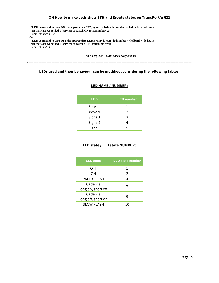**#LED command to turn ON the appropriate LED, syntax is ledn <lednumber> <ledbank> <ledstate> #In that case we set led 1 (service) to switch ON (statenumber=2)** *write\_cli('ledn 1 3 2') else:* **#LED command to turn OFF the appropriate LED, syntax is ledn <lednumber> <ledbank> <ledstate> #In that case we set led 1 (service) to switch OFF (statenumber=1)** *write\_cli('ledn 1 3 1')*

*time.sleep(0.25) #Run check every 250 ms*

*#====================================================================================================*

#### **LEDs used and their behaviour can be modified, considering the following tables.**

| <b>LED</b>          | <b>LED number</b> |
|---------------------|-------------------|
| Service             | L                 |
| <b>WWAN</b>         | 2                 |
| Signal1             | 3                 |
| Signal <sub>2</sub> |                   |
| Signal3             |                   |

#### **LED NAME / NUMBER:**

#### **LED state / LED state NUMBER:**

| <b>LED state</b>     | <b>LED state number</b> |
|----------------------|-------------------------|
| OFF                  | 1                       |
| ΟN                   | 2                       |
| <b>RAPID FLASH</b>   | 4                       |
| Cadence              |                         |
| (long on, short off) |                         |
| Cadence              |                         |
| (long off, short on) |                         |
| <b>SLOW FLASH</b>    | 10                      |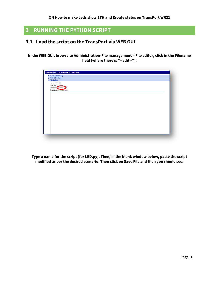## <span id="page-5-0"></span>**3 RUNNING THE PYTHON SCRIPT**

## <span id="page-5-1"></span>**3.1 Load the script on the TransPort via WEB GUI**

**In the WEB GUI, browse to Administration-File management > File editor, click in the Filename field (where there is "--edit--"):**

| <b>Administration - File Management &gt; File Editor</b> |  |
|----------------------------------------------------------|--|
| FLASH Directory<br>▶ WEB Directory                       |  |
| ▼ File Editor                                            |  |
| System files <sup>o</sup>                                |  |
| <b>User files</b><br>⋒                                   |  |
| Filename: -- edit--<br>١÷                                |  |
| Load file<br>Save file                                   |  |
|                                                          |  |
|                                                          |  |
|                                                          |  |
|                                                          |  |
|                                                          |  |
|                                                          |  |
|                                                          |  |
|                                                          |  |
|                                                          |  |
|                                                          |  |
|                                                          |  |
|                                                          |  |
|                                                          |  |
|                                                          |  |
|                                                          |  |
|                                                          |  |
|                                                          |  |
|                                                          |  |

**Type a name for the script (for LED.py). Then, in the blank window below, paste the script modified as per the desired scenario. Then click on Save File and then you should see:**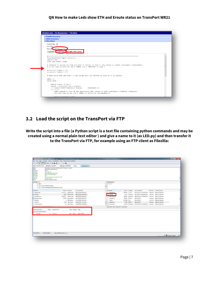

## <span id="page-6-0"></span>**3.2 Load the script on the TransPort via FTP**

**Write the script into a file (a Python script is a text file containing python commands and may be created using a normal plain text editor ) and give a name to it (as LED.py) and then transfer it to the TransPort via FTP, for example using an FTP client as Filezilla:**

|                                                                                                                                      |                                                                                                                                                                                                                                                                            |                                  |                                               |                       |                          |                                          |                   |                                                                     |                             | $x = 0$ , $x = 0$ |  |
|--------------------------------------------------------------------------------------------------------------------------------------|----------------------------------------------------------------------------------------------------------------------------------------------------------------------------------------------------------------------------------------------------------------------------|----------------------------------|-----------------------------------------------|-----------------------|--------------------------|------------------------------------------|-------------------|---------------------------------------------------------------------|-----------------------------|-------------------|--|
|                                                                                                                                      | File Edit View Transfer Server Bookmarks Help New version available!                                                                                                                                                                                                       |                                  |                                               |                       |                          |                                          |                   |                                                                     |                             |                   |  |
| $111 - 1$                                                                                                                            | <b>TO 2 1 2 2 2 2 4 2 5 2 3 2 3 3 4 3 4 3 4 5 4 5 4 5 4 5 4 5 4 5 6 7 7 8 4 5 6 7 7 8 7 8 7 8 7 8 7 8 7 8 7 8 7 8</b>                                                                                                                                                      |                                  |                                               |                       |                          |                                          |                   |                                                                     |                             |                   |  |
| Host: 192.168.10.202 Username: username                                                                                              | Password: essesses                                                                                                                                                                                                                                                         |                                  | Port:                                         | Quickcannect          |                          |                                          |                   |                                                                     |                             |                   |  |
| Status:<br>Status:<br>Command:<br>Response:<br>Command:<br>Response:<br><b>LIST</b><br>Command:<br>Response:<br>Response:<br>Status: | File transfer successful, transferred 1,817 bytes in 1 second<br>Retrieving directory listing<br>TYPE I<br>200 Type I OK<br>PORT 192,168,10,2,227,115<br>200 Port command okay<br>150 Opening data connection for LIST<br>226 File sent OK<br>Directory listing successful |                                  |                                               |                       |                          |                                          |                   |                                                                     |                             |                   |  |
| Local site: C:\                                                                                                                      |                                                                                                                                                                                                                                                                            |                                  |                                               |                       |                          | Remote site: /                           |                   |                                                                     |                             |                   |  |
| 由-展日                                                                                                                                 |                                                                                                                                                                                                                                                                            |                                  |                                               |                       | $\hat{\phantom{a}}$      | $\mathbb{R}$ 1                           |                   |                                                                     |                             |                   |  |
| E-se H: (\\dor-fs01\amingo\$)                                                                                                        |                                                                                                                                                                                                                                                                            |                                  |                                               |                       | 目                        |                                          |                   |                                                                     |                             |                   |  |
|                                                                                                                                      | Y: (\\iky-file\Engineering\binaries_to_test)                                                                                                                                                                                                                               |                                  |                                               |                       | $\overline{\phantom{a}}$ |                                          |                   |                                                                     |                             |                   |  |
| Filename                                                                                                                             |                                                                                                                                                                                                                                                                            | Filesize Filetype                | Last modified                                 |                       | $\bullet$                | Filename                                 | Filesize Filetype | Last modified                                                       | Permissi Owner/Group        |                   |  |
| a hiberfil.sys                                                                                                                       |                                                                                                                                                                                                                                                                            | 3,167,37 System file             |                                               | 08/22/2014 08:54:25   |                          | image4.c2                                | 120,692 C2 File   | 01/01/2014 12:26:00 AM -rwxrwxr ftpuser ftpusers                    |                             |                   |  |
| ALED.py                                                                                                                              |                                                                                                                                                                                                                                                                            | 1,817 Python File                |                                               | 08/22/2014 04:45:26 - |                          | ALED.py                                  |                   | 1.817 Python F., 01/15/2014 05:39:00 AM -rwxrwxr., ftpuser ftpusers |                             |                   |  |
| pagefile.sys                                                                                                                         |                                                                                                                                                                                                                                                                            | 4,223,17. System file            |                                               | 08/22/2014 08:54:28   |                          | <b>TOUCOUES IXE</b>                      |                   | 20,947 Text Doc 01/01/2014 12:25:00 AM -rwxrwxr ftpuser ftpusers    |                             |                   |  |
| a password.exe                                                                                                                       |                                                                                                                                                                                                                                                                            | 28,672 Application               |                                               | 05/14/2012 09:26:14   |                          | manual.sb                                | 26.826 SB File    | 01/23/2014                                                          | -rwxrwxr ftpuser ftpusers   |                   |  |
| Rule.txt                                                                                                                             |                                                                                                                                                                                                                                                                            | 0 Text Docu                      |                                               | 11/27/2013 05:24:14   |                          | mirror                                   | 101,280 File      | 01/23/2014                                                          | -r-xr-xr-x ftpuser ftpusers |                   |  |
| test2.txt                                                                                                                            |                                                                                                                                                                                                                                                                            | 1.477 Text Docu.                 |                                               | 08/22/2014 04:45:00   |                          | pppfcs.sb                                | 7.784 SB File     | 01/23/2014                                                          | -rwxrwxr ftpuser ftpusers   |                   |  |
| voice mail.txt                                                                                                                       |                                                                                                                                                                                                                                                                            | 65 Text Docu 07/04/2014 05:06:08 |                                               |                       |                          | privpy.enc                               |                   | 61,524 Wireshar 01/01/2014 12:25:00 AM -rwxrwxr ftpuser ftpusers    |                             |                   |  |
| <b>Columnial 5 (Cla., These Indians 5 (047) hours</b>                                                                                |                                                                                                                                                                                                                                                                            |                                  |                                               |                       |                          | Selected 1 file. Total size: 7,784 bytes |                   |                                                                     |                             |                   |  |
| Server/Local file<br>username@192.168.1<br>CALED.pv                                                                                  | Direc. Remote file<br>$\rightarrow$ > $\land$ ED.py                                                                                                                                                                                                                        |                                  | Size Priority Time<br>1,817 Norm., 08/22/2014 |                       |                          |                                          |                   |                                                                     |                             |                   |  |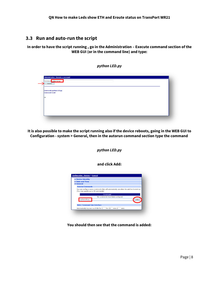## <span id="page-7-0"></span>**3.3 Run and auto-run the script**

**In order to have the script running , go in the Administration – Execute command section of the WEB GUI (or in the command line) and type:**

*python LED.py*

| Execute                |  |  |
|------------------------|--|--|
| Command: python LED.py |  |  |
| <b>Command result</b>  |  |  |
| lok                    |  |  |
|                        |  |  |
|                        |  |  |
|                        |  |  |

**It is also possible to make the script running also if the device reboots, going in the WEB GUI to Configuration - system > General, then in the autorun command section type the command**

*python LED.py*

**and click Add:**

| Device Identity                                                                                                                 |
|---------------------------------------------------------------------------------------------------------------------------------|
| Date and Time                                                                                                                   |
| ▼ General                                                                                                                       |
| <b>Autorun Commands</b>                                                                                                         |
| You can configure some commands that will automatically run when the unit has booted up.<br>(You may specify up to 10 commands) |
| <b>Command</b>                                                                                                                  |
| No commands have been configured                                                                                                |
| python LED.py<br>Add                                                                                                            |
| <b>Web / Command Line Interface</b>                                                                                             |
| Automatically log user out if idle for 0<br>hrs 20<br>mins 0<br>secs                                                            |

**You should then see that the command is added:**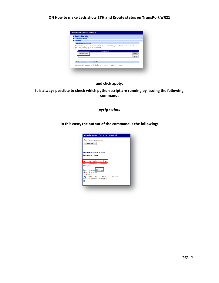| Device Identity                     |                |  |               |
|-------------------------------------|----------------|--|---------------|
| Date and Time                       |                |  |               |
| ▼ General                           |                |  |               |
| <b>Autorun Commands</b>             |                |  |               |
| (You may specify up to 10 commands) |                |  |               |
|                                     | <b>Command</b> |  |               |
| python LED.py                       |                |  | Delete<br>Add |
| <b>Web / Command Line Interface</b> |                |  |               |

**and click apply.**

**It is always possible to check which python script are running by issuing the following command:**

#### *pycfg scripts*

#### **In this case, the output of the command is the following:**

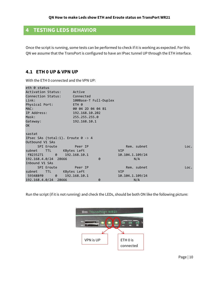## <span id="page-9-0"></span>**4 TESTING LEDS BEHAVIOR**

Once the script is running, some tests can be performed to check if it is working as expected. For this QN we assume that the TransPort is configured to have an IPsec tunnel UP through the ETH interface.

## <span id="page-9-1"></span>**4.1 ETH 0 UP & VPN UP**

With the ETH 0 connected and the VPN UP:

| eth 0 status                                  |                       |                 |      |
|-----------------------------------------------|-----------------------|-----------------|------|
| Activation Status:                            | Active                |                 |      |
| Connection Status:                            | Connected             |                 |      |
| Link:                                         | 100Base-T Full-Duplex |                 |      |
| Physical Port:                                | ETH 0                 |                 |      |
| MAC:                                          | 00 04 2D 04 04 B1     |                 |      |
| IP Address:                                   | 192.168.10.202        |                 |      |
| Mask:                                         | 255.255.255.0         |                 |      |
| Gateway:                                      | 192.168.10.1          |                 |      |
| OK.                                           |                       |                 |      |
|                                               |                       |                 |      |
| sastat                                        |                       |                 |      |
| IPsec SAs (total:1). Eroute $0 \rightarrow 4$ |                       |                 |      |
| Outbound V1 SAs                               |                       |                 |      |
| SPI Eroute                                    | Peer IP               | Rem. subnet     | Loc. |
| KBytes Left<br>subnet<br>TTL.                 |                       | <b>VIP</b>      |      |
| f8235271<br>$0\qquad 192.168.10.1$            |                       | 10.104.1.109/24 |      |
| 192.168.4.0/24 28666                          | 0                     | N/A             |      |
| Inbound V1 SAs                                |                       |                 |      |
| SPI Eroute                                    | Peer IP               | Rem. subnet     | Loc. |
| <b>TTL</b><br>KBytes Left<br>subnet           |                       | <b>VIP</b>      |      |
| 593488f0                                      | 0 192.168.10.1        | 10.104.1.109/24 |      |
| 192.168.4.0/24 28666                          | 0                     | N/A             |      |

Run the script (if it is not running) and check the LEDs, should be both ON like the following picture:

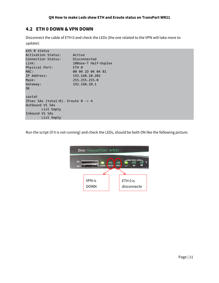## <span id="page-10-0"></span>**4.2 ETH 0 DOWN & VPN DOWN**

Disconnect the cable of ETH 0 and check the LEDs (the one related to the VPN will take more to update):

| eth 0 status                                                               |                      |
|----------------------------------------------------------------------------|----------------------|
| Activation Status:                                                         | Active               |
| Connection Status:                                                         | Disconnected         |
| Link:                                                                      | 10Base-T Half-Duplex |
| Physical Port:                                                             | ETH 0                |
| MAC:                                                                       | 00 04 2D 04 04 B1    |
| IP Address:                                                                | 192.168.10.202       |
| Mask:                                                                      | 255.255.255.0        |
| Gateway:                                                                   | 192.168.10.1         |
| <b>OK</b>                                                                  |                      |
|                                                                            |                      |
|                                                                            |                      |
|                                                                            |                      |
| List Empty                                                                 |                      |
| Inbound V1 SAs                                                             |                      |
| List Empty                                                                 |                      |
| sastat<br>IPsec SAs (total:0). Eroute $0 \rightarrow 4$<br>Outbound V1 SAs |                      |

Run the script (if it is not running) and check the LEDs, should be both ON like the following picture:

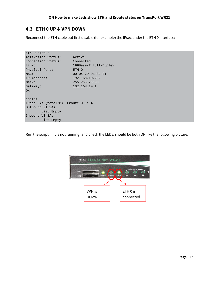## <span id="page-11-0"></span>**4.3 ETH 0 UP & VPN DOWN**

Reconnect the ETH cable but first disable (for example) the IPsec under the ETH 0 interface:

| eth 0 status                                  |                       |
|-----------------------------------------------|-----------------------|
| Activation Status:                            | Active                |
| Connection Status:                            | Connected             |
| Link:                                         | 100Base-T Full-Duplex |
| Physical Port:                                | ETH 0                 |
| MAC:                                          | 00 04 2D 04 04 B1     |
| IP Address:                                   | 192.168.10.202        |
| Mask:                                         | 255.255.255.0         |
| Gateway:                                      | 192.168.10.1          |
| <b>OK</b>                                     |                       |
|                                               |                       |
| sastat                                        |                       |
| IPsec SAs (total:0). Eroute $0 \rightarrow 4$ |                       |
| Outbound V1 SAs                               |                       |
| List Empty                                    |                       |
| Inbound V1 SAs                                |                       |
| List Empty                                    |                       |

Run the script (if it is not running) and check the LEDs, should be both ON like the following picture: